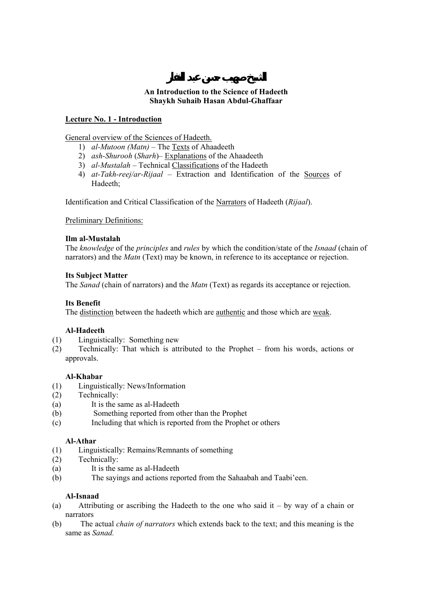## **An Introduction to the Science of Hadeeth Shaykh Suhaib Hasan Abdul-Ghaffaar**

## **Lecture No. 1 - Introduction**

General overview of the Sciences of Hadeeth.

- 1) *al-Mutoon (Matn)* The Texts of Ahaadeeth
- 2) *ash-Shurooh* (*Sharh*)– Explanations of the Ahaadeeth
- 3) *al-Mustalah* Technical Classifications of the Hadeeth
- 4) *at-Takh-reej/ar-Rijaal* Extraction and Identification of the Sources of Hadeeth;

Identification and Critical Classification of the Narrators of Hadeeth (*Rijaal*).

Preliminary Definitions:

#### **Ilm al-Mustalah**

The *knowledge* of the *principles* and *rules* by which the condition/state of the *Isnaad* (chain of narrators) and the *Matn* (Text) may be known, in reference to its acceptance or rejection.

## **Its Subject Matter**

The *Sanad* (chain of narrators) and the *Matn* (Text) as regards its acceptance or rejection.

## **Its Benefit**

The distinction between the hadeeth which are authentic and those which are weak.

# **Al-Hadeeth**

- (1) Linguistically: Something new
- (2) Technically: That which is attributed to the Prophet from his words, actions or approvals.

#### **Al-Khabar**

- (1) Linguistically: News/Information
- (2) Technically:
- (a) It is the same as al-Hadeeth
- (b) Something reported from other than the Prophet
- (c) Including that which is reported from the Prophet or others

#### **Al-Athar**

- (1) Linguistically: Remains/Remnants of something
- (2) Technically:
- (a) It is the same as al-Hadeeth
- (b) The sayings and actions reported from the Sahaabah and Taabi'een.

#### **Al-Isnaad**

- (a) Attributing or ascribing the Hadeeth to the one who said it by way of a chain or narrators
- (b) The actual *chain of narrators* which extends back to the text; and this meaning is the same as *Sanad.*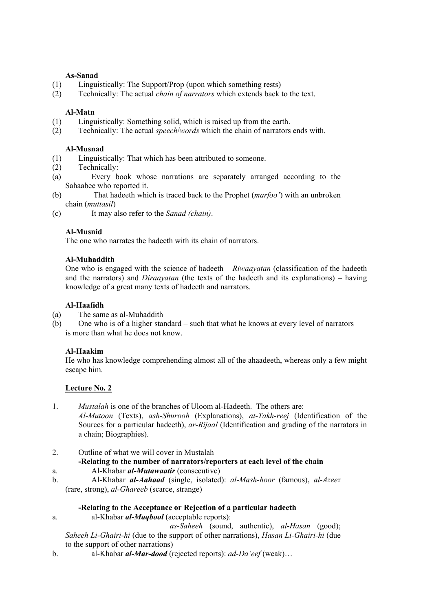## **As-Sanad**

- (1) Linguistically: The Support/Prop (upon which something rests)
- (2) Technically: The actual *chain of narrators* which extends back to the text.

## **Al-Matn**

- (1) Linguistically: Something solid, which is raised up from the earth.
- (2) Technically: The actual *speech*/*words* which the chain of narrators ends with.

## **Al-Musnad**

- (1) Linguistically: That which has been attributed to someone.
- (2) Technically:
- (a) Every book whose narrations are separately arranged according to the Sahaabee who reported it.
- (b) That hadeeth which is traced back to the Prophet (*marfoo'*) with an unbroken chain (*muttasil*)
- (c) It may also refer to the *Sanad (chain)*.

## **Al-Musnid**

The one who narrates the hadeeth with its chain of narrators.

# **Al-Muhaddith**

One who is engaged with the science of hadeeth – *Riwaayatan* (classification of the hadeeth and the narrators) and *Diraayatan* (the texts of the hadeeth and its explanations) – having knowledge of a great many texts of hadeeth and narrators.

## **Al-Haafidh**

- (a) The same as al-Muhaddith
- (b) One who is of a higher standard such that what he knows at every level of narrators is more than what he does not know.

# **Al-Haakim**

He who has knowledge comprehending almost all of the ahaadeeth, whereas only a few might escape him.

#### **Lecture No. 2**

- 1. *Mustalah* is one of the branches of Uloom al-Hadeeth. The others are: *Al-Mutoon* (Texts), *ash-Shurooh* (Explanations), *at-Takh-reej* (Identification of the Sources for a particular hadeeth), *ar-Rijaal* (Identification and grading of the narrators in a chain; Biographies).
- 2. Outline of what we will cover in Mustalah

# **-Relating to the number of narrators/reporters at each level of the chain**

- a. Al-Khabar *al-Mutawaatir* (consecutive)
- b. Al-Khabar *al-Aahaad* (single, isolated): *al-Mash-hoor* (famous), *al-Azeez* (rare, strong), *al-Ghareeb* (scarce, strange)

# **-Relating to the Acceptance or Rejection of a particular hadeeth**

a. al-Khabar *al-Maqbool* (acceptable reports):

 *as-Saheeh* (sound, authentic), *al*-*Hasan* (good); *Saheeh Li*-*Ghairi*-*hi* (due to the support of other narrations), *Hasan Li-Ghairi-hi* (due to the support of other narrations)

b. al-Khabar *al-Mar-dood* (rejected reports): *ad-Da'eef* (weak)…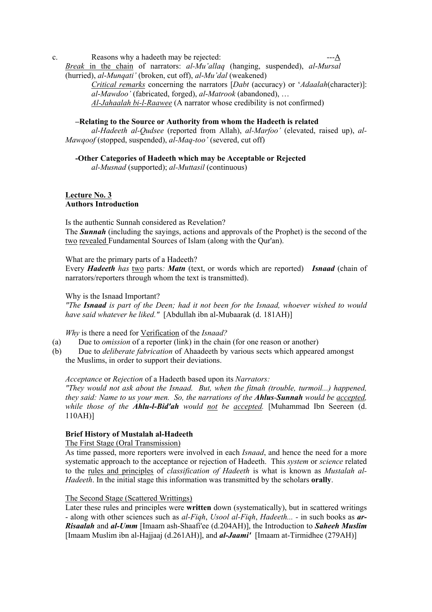c. Reasons why a hadeeth may be rejected:  $--A$ *Break* in the chain of narrators: *al-Mu'allaq* (hanging, suspended), *al*-*Mursal* (hurried), *al*-*Munqati'* (broken, cut off), *al*-*Mu'dal* (weakened)

> *Critical remarks* concerning the narrators [*Dabt* (accuracy) or '*Adaalah*(character)]: *al*-*Mawdoo'* (fabricated, forged), *al*-*Matrook* (abandoned), … *Al-Jahaalah bi-l-Raawee* (A narrator whose credibility is not confirmed)

### **–Relating to the Source or Authority from whom the Hadeeth is related**

*al-Hadeeth al-Qudsee* (reported from Allah), *al-Marfoo'* (elevated, raised up), *al-Mawqoof* (stopped, suspended), *al-Maq-too'* (severed, cut off)

# **-Other Categories of Hadeeth which may be Acceptable or Rejected**

*al-Musnad* (supported); *al-Muttasil* (continuous)

# **Lecture No. 3 Authors Introduction**

Is the authentic Sunnah considered as Revelation? The *Sunnah* (including the sayings, actions and approvals of the Prophet) is the second of the two revealed Fundamental Sources of Islam (along with the Qur'an).

What are the primary parts of a Hadeeth?

Every *Hadeeth has* two parts*: Matn* (text, or words which are reported) *Isnaad* (chain of narrators/reporters through whom the text is transmitted).

Why is the Isnaad Important?

*"The Isnaad is part of the Deen; had it not been for the Isnaad, whoever wished to would have said whatever he liked."* [Abdullah ibn al-Mubaarak (d. 181AH)]

*Why* is there a need for Verification of the *Isnaad?*

- (a) Due to *omission* of a reporter (link) in the chain (for one reason or another)
- (b) Due to *deliberate fabrication* of Ahaadeeth by various sects which appeared amongst the Muslims, in order to support their deviations.

# *Acceptance* or *Rejection* of a Hadeeth based upon its *Narrators:*

*"They would not ask about the Isnaad. But, when the fitnah (trouble, turmoil...) happened, they said: Name to us your men. So, the narrations of the Ahlus-Sunnah would be accepted, while those of the Ahlu-l-Bid'ah would not be accepted.* [Muhammad Ibn Seereen (d. 110AH)]

# **Brief History of Mustalah al-Hadeeth**

The First Stage (Oral Transmission)

As time passed, more reporters were involved in each *Isnaad*, and hence the need for a more systematic approach to the acceptance or rejection of Hadeeth. This *system* or *science* related to the rules and principles of *classification of Hadeeth* is what is known as *Mustalah al-Hadeeth*. In the initial stage this information was transmitted by the scholars **orally**.

# The Second Stage (Scattered Writtings)

Later these rules and principles were **written** down (systematically), but in scattered writings - along with other sciences such as *al-Fiqh*, *Usool al-Fiqh*, *Hadeeth... -* in such books as *ar-Risaalah* and *al-Umm* [Imaam ash-Shaafi'ee (d.204AH)], the Introduction to *Saheeh Muslim* [Imaam Muslim ibn al-Hajjaaj (d.261AH)], and *al-Jaami'* [Imaam at-Tirmidhee (279AH)]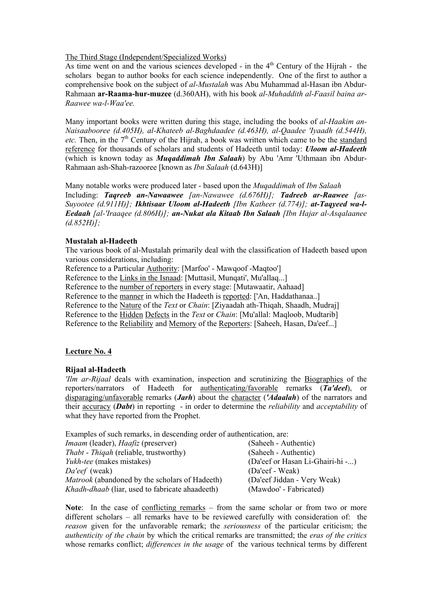#### The Third Stage (Independent/Specialized Works)

As time went on and the various sciences developed - in the  $4<sup>th</sup>$  Century of the Hijrah - the scholars began to author books for each science independently. One of the first to author a comprehensive book on the subject of *al-Mustalah* was Abu Muhammad al-Hasan ibn Abdur-Rahmaan **ar-Raama-hur-muzee** (d.360AH), with his book *al-Muhaddith al-Faasil baina ar-Raawee wa-l-Waa'ee.* 

Many important books were written during this stage, including the books of *al-Haakim an-Naisaabooree (d.405H), al-Khateeb al-Baghdaadee (d.463H), al-Qaadee 'Iyaadh (d.544H), etc.* Then, in the 7<sup>th</sup> Century of the Hijrah, a book was written which came to be the standard reference for thousands of scholars and students of Hadeeth until today: *Uloom al-Hadeeth* (which is known today as *Muqaddimah Ibn Salaah*) by Abu 'Amr 'Uthmaan ibn Abdur-Rahmaan ash-Shah-razooree [known as *Ibn Salaah* (d.643H)]

Many notable works were produced later - based upon the *Muqaddimah* of *Ibn Salaah*  Including: *Taqreeb an-Nawaawee [an-Nawawee (d.676H)]; Tadreeb ar-Raawee [as-Suyootee (d.911H)]; Ikhtisaar Uloom al-Hadeeth [Ibn Katheer (d.774)]; at-Taqyeed wa-l-Eedaah [al-'Iraaqee (d.806H)]; an-Nukat ala Kitaab Ibn Salaah [Ibn Hajar al-Asqalaanee (d.852H)];* 

# **Mustalah al-Hadeeth**

The various book of al-Mustalah primarily deal with the classification of Hadeeth based upon various considerations, including:

Reference to a Particular Authority: [Marfoo' - Mawqoof -Maqtoo']

Reference to the Links in the Isnaad: [Muttasil, Munqati', Mu'allaq...]

Reference to the number of reporters in every stage: [Mutawaatir, Aahaad]

Reference to the manner in which the Hadeeth is reported: ['An, Haddathanaa..]

Reference to the Nature of the *Text* or *Chain*: [Ziyaadah ath-Thiqah, Shaadh, Mudraj]

Reference to the Hidden Defects in the *Text* or *Chain*: [Mu'allal: Maqloob, Mudtarib]

Reference to the Reliability and Memory of the Reporters: [Saheeh, Hasan, Da'eef...]

# **Lecture No. 4**

#### **Rijaal al-Hadeeth**

*'Ilm ar-Rijaal* deals with examination, inspection and scrutinizing the Biographies of the reporters/narrators of Hadeeth for authenticating/favorable remarks (*Ta'deel*), or disparaging/unfavorable remarks (*Jarh*) about the character (*'Adaalah*) of the narrators and their accuracy (*Dabt*) in reporting - in order to determine the *reliability* and *acceptability* of what they have reported from the Prophet.

Examples of such remarks, in descending order of authentication, are:

| <i>Imaam</i> (leader), <i>Haafiz</i> (preserver)       | (Saheeh - Authentic)             |
|--------------------------------------------------------|----------------------------------|
| <i>Thabt - Thiqah</i> (reliable, trustworthy)          | (Saheeh - Authentic)             |
| <i>Yukh-tee</i> (makes mistakes)                       | (Da'eef or Hasan Li-Ghairi-hi -) |
| Da'eef (weak)                                          | (Da'eef - Weak)                  |
| Matrook (abandoned by the scholars of Hadeeth)         | (Da'eef Jiddan - Very Weak)      |
| <i>Khadh-dhaab</i> (liar, used to fabricate ahaadeeth) | (Mawdoo' - Fabricated)           |

**Note:** In the case of conflicting remarks – from the same scholar or from two or more different scholars – all remarks have to be reviewed carefully with consideration of: the *reason* given for the unfavorable remark; the *seriousness* of the particular criticism; the *authenticity of the chain* by which the critical remarks are transmitted; the *eras of the critics* whose remarks conflict; *differences in the usage* of the various technical terms by different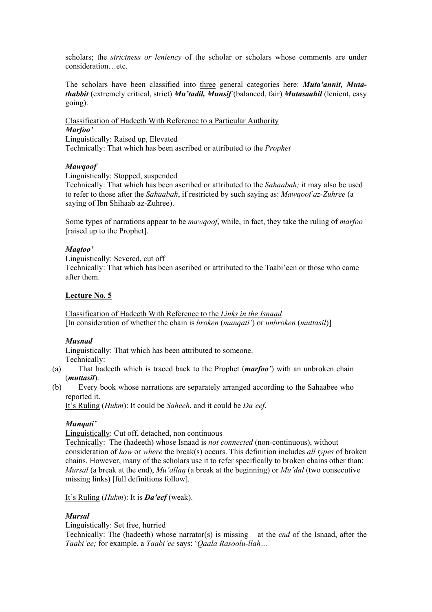scholars; the *strictness or leniency* of the scholar or scholars whose comments are under consideration…etc.

The scholars have been classified into three general categories here: *Muta'annit, Mutathabbit* (extremely critical, strict) *Mu'tadil, Munsif* (balanced, fair) *Mutasaahil* (lenient, easy going).

Classification of Hadeeth With Reference to a Particular Authority *Marfoo'* Linguistically: Raised up, Elevated

Technically: That which has been ascribed or attributed to the *Prophet*

## *Mawqoof*

Linguistically: Stopped, suspended

Technically: That which has been ascribed or attributed to the *Sahaabah;* it may also be used to refer to those after the *Sahaabah*, if restricted by such saying as: *Mawqoof az*-*Zuhree* (a saying of Ibn Shihaab az-Zuhree).

Some types of narrations appear to be *mawqoof*, while, in fact, they take the ruling of *marfoo'* [raised up to the Prophet].

#### *Maqtoo'*

Linguistically: Severed, cut off Technically: That which has been ascribed or attributed to the Taabi'een or those who came after them.

#### **Lecture No. 5**

Classification of Hadeeth With Reference to the *Links in the Isnaad* [In consideration of whether the chain is *broken* (*munqati'*) or *unbroken* (*muttasil*)]

#### *Musnad*

Linguistically: That which has been attributed to someone. Technically:

- (a) That hadeeth which is traced back to the Prophet (*marfoo'*) with an unbroken chain (*muttasil*).
- (b) Every book whose narrations are separately arranged according to the Sahaabee who reported it.

It's Ruling (*Hukm*): It could be *Saheeh*, and it could be *Da'eef*.

#### *Munqati'*

Linguistically: Cut off, detached, non continuous

Technically: The (hadeeth) whose Isnaad is *not connected* (non-continuous), without consideration of *how* or *where* the break(s) occurs. This definition includes *all types* of broken chains. However, many of the scholars use it to refer specifically to broken chains other than: *Mursal* (a break at the end), *Mu'allaq* (a break at the beginning) or *Mu'dal* (two consecutive missing links) [full definitions follow].

It's Ruling (*Hukm*): It is *Da'eef* (weak).

#### *Mursal*

Linguistically: Set free, hurried

Technically: The (hadeeth) whose narrator(s) is missing – at the *end* of the Isnaad, after the *Taabi'ee;* for example, a *Taabi'ee* says: '*Qaala Rasoolu-llah…'*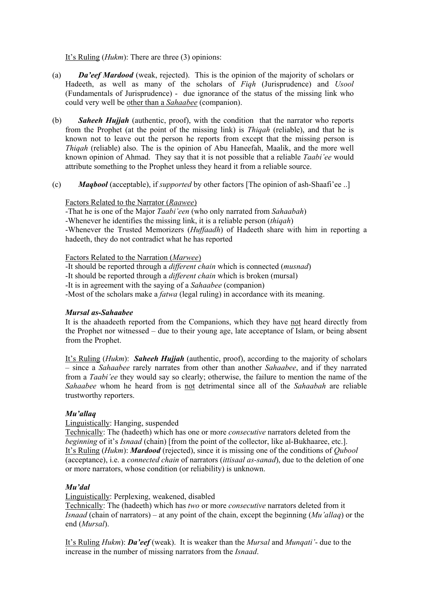It's Ruling (*Hukm*): There are three (3) opinions:

- (a) *Da'eef Mardood* (weak, rejected). This is the opinion of the majority of scholars or Hadeeth, as well as many of the scholars of *Fiqh* (Jurisprudence) and *Usool* (Fundamentals of Jurisprudence) - due ignorance of the status of the missing link who could very well be other than a *Sahaabee* (companion).
- (b) *Saheeh Hujjah* (authentic, proof), with the condition that the narrator who reports from the Prophet (at the point of the missing link) is *Thiqah* (reliable), and that he is known not to leave out the person he reports from except that the missing person is *Thiqah* (reliable) also. The is the opinion of Abu Haneefah, Maalik, and the more well known opinion of Ahmad. They say that it is not possible that a reliable *Taabi'ee* would attribute something to the Prophet unless they heard it from a reliable source.
- (c) *Maqbool* (acceptable), if *supported* by other factors [The opinion of ash-Shaafi'ee ..]

## Factors Related to the Narrator (*Raawee*)

-That he is one of the Major *Taabi'een* (who only narrated from *Sahaabah*)

-Whenever he identifies the missing link, it is a reliable person (*thiqah*)

-Whenever the Trusted Memorizers (*Huffaadh*) of Hadeeth share with him in reporting a hadeeth, they do not contradict what he has reported

Factors Related to the Narration (*Marwee*)

-It should be reported through a *different chain* which is connected (*musnad*)

-It should be reported through a *different chain* which is broken (mursal)

-It is in agreement with the saying of a *Sahaabee* (companion)

-Most of the scholars make a *fatwa* (legal ruling) in accordance with its meaning.

#### *Mursal as-Sahaabee*

It is the ahaadeeth reported from the Companions, which they have not heard directly from the Prophet nor witnessed – due to their young age, late acceptance of Islam, or being absent from the Prophet.

It's Ruling (*Hukm*): *Saheeh Hujjah* (authentic, proof), according to the majority of scholars – since a *Sahaabee* rarely narrates from other than another *Sahaabee*, and if they narrated from a *Taabi'ee* they would say so clearly; otherwise, the failure to mention the name of the *Sahaabee* whom he heard from is not detrimental since all of the *Sahaabah* are reliable trustworthy reporters.

#### *Mu'allaq*

#### Linguistically: Hanging, suspended

Technically: The (hadeeth) which has one or more *consecutive* narrators deleted from the *beginning* of it's *Isnaad* (chain) [from the point of the collector, like al-Bukhaaree, etc.]. It's Ruling (*Hukm*): *Mardood* (rejected), since it is missing one of the conditions of *Qubool* (acceptance), i.e. a *connected chain* of narrators (*ittisaal as-sanad*), due to the deletion of one or more narrators, whose condition (or reliability) is unknown.

#### *Mu'dal*

Linguistically: Perplexing, weakened, disabled

Technically: The (hadeeth) which has *two* or more *consecutive* narrators deleted from it *Isnaad* (chain of narrators) – at any point of the chain, except the beginning (*Mu'allaq*) or the end (*Mursal*).

It's Ruling *Hukm*): *Da'eef* (weak). It is weaker than the *Mursal* and *Munqati'*- due to the increase in the number of missing narrators from the *Isnaad*.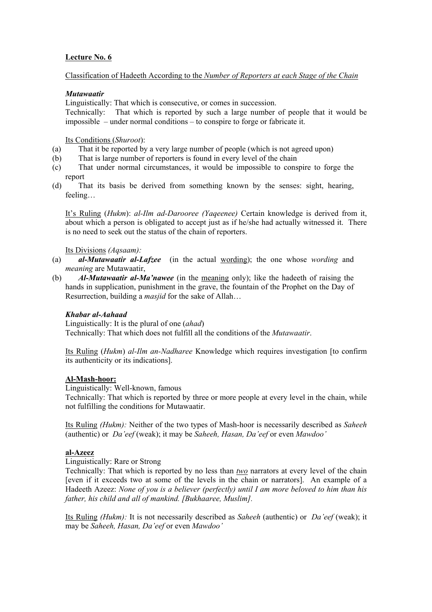# **Lecture No. 6**

# Classification of Hadeeth According to the *Number of Reporters at each Stage of the Chain*

## *Mutawaatir*

Linguistically: That which is consecutive, or comes in succession. Technically: That which is reported by such a large number of people that it would be impossible – under normal conditions – to conspire to forge or fabricate it.

Its Conditions (*Shuroot*):

- (a) That it be reported by a very large number of people (which is not agreed upon)
- (b) That is large number of reporters is found in every level of the chain
- (c) That under normal circumstances, it would be impossible to conspire to forge the report
- (d) That its basis be derived from something known by the senses: sight, hearing, feeling…

It's Ruling (*Hukm*): *al-Ilm ad-Darooree (Yaqeenee)* Certain knowledge is derived from it, about which a person is obligated to accept just as if he/she had actually witnessed it. There is no need to seek out the status of the chain of reporters.

#### Its Divisions *(Aqsaam):*

- (a) *al-Mutawaatir al-Lafzee* (in the actual wording); the one whose *wording* and *meaning* are Mutawaatir,
- (b) *Al-Mutawaatir al-Ma'nawee* (in the meaning only); like the hadeeth of raising the hands in supplication, punishment in the grave, the fountain of the Prophet on the Day of Resurrection, building a *masjid* for the sake of Allah…

# *Khabar al-Aahaad*

Linguistically: It is the plural of one (*ahad*) Technically: That which does not fulfill all the conditions of the *Mutawaatir*.

Its Ruling (*Hukm*) *al-Ilm an-Nadharee* Knowledge which requires investigation [to confirm its authenticity or its indications].

#### **Al-Mash-hoor:**

Linguistically: Well-known, famous

Technically: That which is reported by three or more people at every level in the chain, while not fulfilling the conditions for Mutawaatir.

Its Ruling *(Hukm):* Neither of the two types of Mash-hoor is necessarily described as *Saheeh* (authentic) or *Da'eef* (weak); it may be *Saheeh, Hasan, Da'eef* or even *Mawdoo'*

#### **al-Azeez**

Linguistically: Rare or Strong

Technically: That which is reported by no less than *two* narrators at every level of the chain [even if it exceeds two at some of the levels in the chain or narrators]. An example of a Hadeeth Azeez: *None of you is a believer (perfectly) until I am more beloved to him than his father, his child and all of mankind. [Bukhaaree, Muslim].* 

Its Ruling *(Hukm):* It is not necessarily described as *Saheeh* (authentic) or *Da'eef* (weak); it may be *Saheeh, Hasan, Da'eef* or even *Mawdoo'*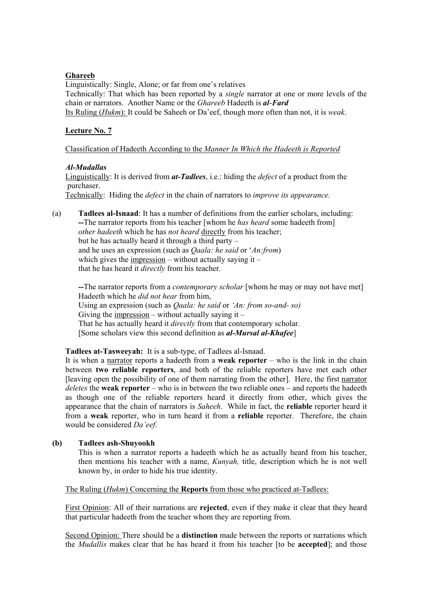## **Ghareeb**

Linguistically: Single, Alone; or far from one's relatives Technically: That which has been reported by a *single* narrator at one or more levels of the chain or narrators. Another Name or the *Ghareeb* Hadeeth is *al*-*Fard*  Its Ruling (*Hukm*): It could be Saheeh or Da'eef, though more often than not, it is *weak*.

## **Lecture No. 7**

## Classification of Hadeeth According to the *Manner In Which the Hadeeth is Reported*

## *Al-Mudallas*

Linguistically: It is derived from *at-Tadlees*, i.e.: hiding the *defect* of a product from the purchaser.

Technically: Hiding the *defect* in the chain of narrators to *improve its appearance.*

(a) **Tadlees al-Isnaad**: It has a number of definitions from the earlier scholars, including: **--**The narrator reports from his teacher [whom he *has heard* some hadeeth from] *other hadeeth* which he has *not heard* directly from his teacher; but he has actually heard it through a third party – and he uses an expression (such as *Qaala: he said* or '*An:from*) which gives the impression – without actually saying it – that he has heard it *directly* from his teacher.

**--**The narrator reports from a *contemporary scholar* [whom he may or may not have met] Hadeeth which he *did not hear* from him, Using an expression (such as *Qaala: he said* or *'An: from so-and- so)*  Giving the impression – without actually saying it – That he has actually heard it *directly* from that contemporary scholar. [Some scholars view this second definition as *al-Mursal al-Khafee*]

#### **Tadlees at-Tasweeyah:** It is a sub-type, of Tadlees al-Isnaad.

It is when a narrator reports a hadeeth from a **weak reporter** – who is the link in the chain between **two reliable reporters**, and both of the reliable reporters have met each other [leaving open the possibility of one of them narrating from the other]. Here, the first narrator *deletes* the **weak reporter** – who is in between the two reliable ones – and reports the hadeeth as though one of the reliable reporters heard it directly from other, which gives the appearance that the chain of narrators is *Saheeh*. While in fact, the **reliable** reporter heard it from a **weak** reporter, who in turn heard it from a **reliable** reporter. Therefore, the chain would be considered *Da'eef*.

# **(b) Tadlees ash-Shuyookh**

This is when a narrator reports a hadeeth which he as actually heard from his teacher, then mentions his teacher with a name, *Kunyah,* title, description which he is not well known by, in order to hide his true identity.

The Ruling (*Hukm*) Concerning the **Reports** from those who practiced at-Tadlees:

First Opinion: All of their narrations are **rejected**, even if they make it clear that they heard that particular hadeeth from the teacher whom they are reporting from.

Second Opinion: There should be a **distinction** made between the reports or narrations which the *Mudallis* makes clear that he has heard it from his teacher [to be **accepted**]; and those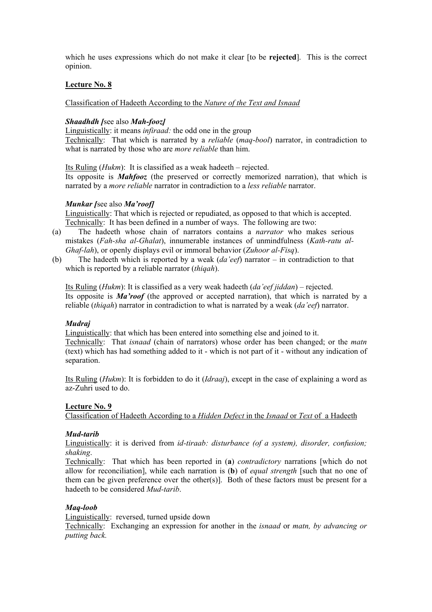which he uses expressions which do not make it clear [to be **rejected**]. This is the correct opinion.

### **Lecture No. 8**

Classification of Hadeeth According to the *Nature of the Text and Isnaad*

## *Shaadhdh [*see also *Mah-fooz]*

Linguistically: it means *infiraad:* the odd one in the group Technically: That which is narrated by a *reliable* (*maq*-*bool*) narrator, in contradiction to what is narrated by those who are *more reliable* than him.

Its Ruling (*Hukm*): It is classified as a weak hadeeth – rejected.

Its opposite is *Mahfooz* (the preserved or correctly memorized narration), that which is narrated by a *more reliable* narrator in contradiction to a *less reliable* narrator.

#### *Munkar [*see also *Ma'roof]*

Linguistically: That which is rejected or repudiated, as opposed to that which is accepted. Technically: It has been defined in a number of ways. The following are two:

- (a) The hadeeth whose chain of narrators contains a *narrator* who makes serious mistakes (*Fah-sha al-Ghalat*), innumerable instances of unmindfulness (*Kath-ratu al-Ghaf-lah*), or openly displays evil or immoral behavior (*Zuhoor al-Fisq*).
- (b) The hadeeth which is reported by a weak (*da'eef*) narrator in contradiction to that which is reported by a reliable narrator (*thiqah*).

Its Ruling (*Hukm*): It is classified as a very weak hadeeth (*da'eef jiddan*) – rejected. Its opposite is *Ma'roof* (the approved or accepted narration), that which is narrated by a reliable (*thiqah*) narrator in contradiction to what is narrated by a weak (*da'eef*) narrator.

#### *Mudraj*

Linguistically: that which has been entered into something else and joined to it. Technically: That *isnaad* (chain of narrators) whose order has been changed; or the *matn* (text) which has had something added to it - which is not part of it - without any indication of separation.

Its Ruling (*Hukm*): It is forbidden to do it (*Idraaj*), except in the case of explaining a word as az-Zuhri used to do.

# **Lecture No. 9**

Classification of Hadeeth According to a *Hidden Defect* in the *Isnaad* or *Text* of a Hadeeth

#### *Mud-tarib*

Linguistically: it is derived from *id-tiraab: disturbance (of a system), disorder, confusion; shaking*.

Technically: That which has been reported in (**a**) *contradictory* narrations [which do not allow for reconciliation], while each narration is (**b**) of *equal strength* [such that no one of them can be given preference over the other(s)]. Both of these factors must be present for a hadeeth to be considered *Mud-tarib*.

#### *Maq-loob*

Linguistically: reversed, turned upside down

Technically: Exchanging an expression for another in the *isnaad* or *matn, by advancing or putting back.*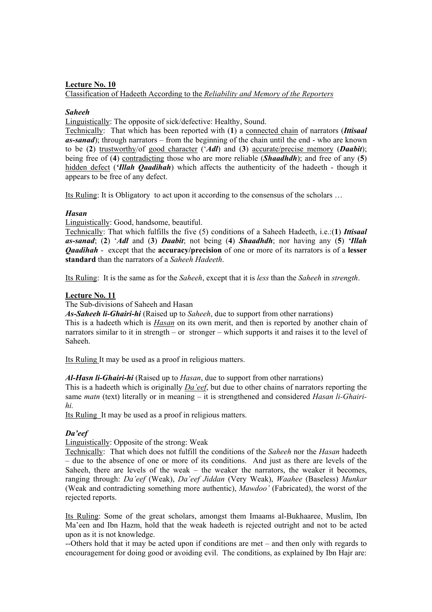# **Lecture No. 10** Classification of Hadeeth According to the *Reliability and Memory of the Reporters*

# *Saheeh*

Linguistically: The opposite of sick/defective: Healthy, Sound.

Technically: That which has been reported with (**1**) a connected chain of narrators (*Ittisaal as-sanad*); through narrators – from the beginning of the chain until the end - who are known to be (**2**) trustworthy/of good character ('*Adl*) and (**3**) accurate/precise memory (*Daabit*); being free of (**4**) contradicting those who are more reliable (*Shaadhdh*); and free of any (**5**) hidden defect (*'Illah Qaadihah*) which affects the authenticity of the hadeeth - though it appears to be free of any defect.

Its Ruling: It is Obligatory to act upon it according to the consensus of the scholars …

# *Hasan*

Linguistically: Good, handsome, beautiful.

Technically: That which fulfills the five (5) conditions of a Saheeh Hadeeth, i.e.:(**1**) *Ittisaal as-sanad*; (**2**) '*Adl* and (**3**) *Daabit*; not being (**4**) *Shaadhdh*; nor having any (**5**) *'Illah Qaadihah* - except that the **accuracy/precision** of one or more of its narrators is of a **lesser standard** than the narrators of a *Saheeh Hadeeth*.

Its Ruling: It is the same as for the *Saheeh*, except that it is *less* than the *Saheeh* in *strength*.

# **Lecture No. 11**

The Sub-divisions of Saheeh and Hasan

*As-Saheeh li-Ghairi-hi* (Raised up to *Saheeh*, due to support from other narrations) This is a hadeeth which is *Hasan* on its own merit, and then is reported by another chain of narrators similar to it in strength – or stronger – which supports it and raises it to the level of Saheeh.

Its Ruling It may be used as a proof in religious matters.

# *Al-Hasn li-Ghairi-hi* (Raised up to *Hasan*, due to support from other narrations)

This is a hadeeth which is originally *Da'eef*, but due to other chains of narrators reporting the same *matn* (text) literally or in meaning – it is strengthened and considered *Hasan li-Ghairihi.* 

Its Ruling It may be used as a proof in religious matters.

# *Da'eef*

Linguistically: Opposite of the strong: Weak

Technically: That which does not fulfill the conditions of the *Saheeh* nor the *Hasan* hadeeth – due to the absence of one or more of its conditions. And just as there are levels of the Saheeh, there are levels of the weak – the weaker the narrators, the weaker it becomes, ranging through: *Da'eef* (Weak), *Da'eef Jiddan* (Very Weak), *Waahee* (Baseless) *Munkar* (Weak and contradicting something more authentic), *Mawdoo'* (Fabricated), the worst of the rejected reports.

Its Ruling: Some of the great scholars, amongst them Imaams al-Bukhaaree, Muslim, Ibn Ma'een and Ibn Hazm, hold that the weak hadeeth is rejected outright and not to be acted upon as it is not knowledge.

--Others hold that it may be acted upon if conditions are met – and then only with regards to encouragement for doing good or avoiding evil. The conditions, as explained by Ibn Hajr are: